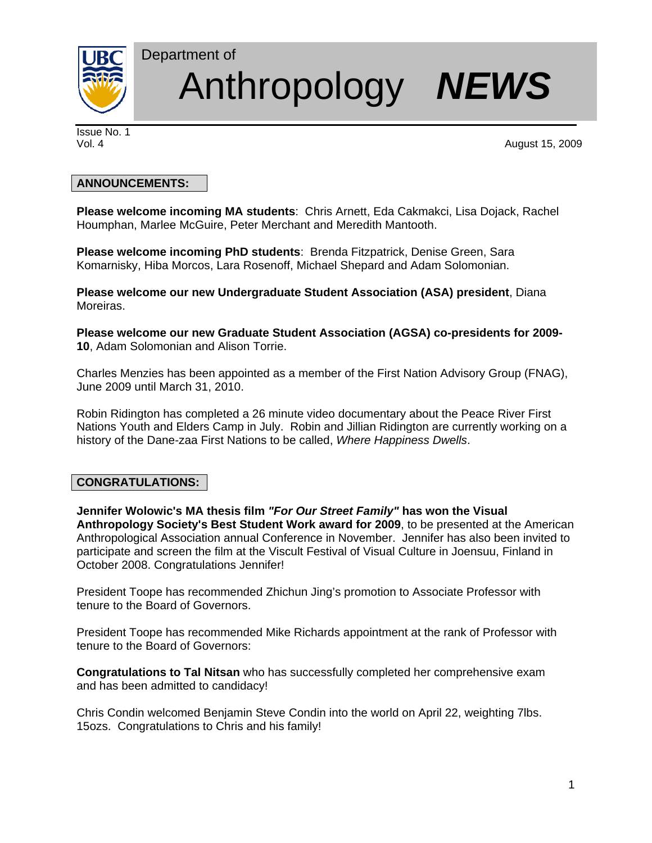

# Department of Anthropology *NEWS*

Issue No. 1

Vol. 4 August 15, 2009

## **ANNOUNCEMENTS:**

**Please welcome incoming MA students**: Chris Arnett, Eda Cakmakci, Lisa Dojack, Rachel Houmphan, Marlee McGuire, Peter Merchant and Meredith Mantooth.

**Please welcome incoming PhD students**: Brenda Fitzpatrick, Denise Green, Sara Komarnisky, Hiba Morcos, Lara Rosenoff, Michael Shepard and Adam Solomonian.

**Please welcome our new Undergraduate Student Association (ASA) president**, Diana Moreiras.

**Please welcome our new Graduate Student Association (AGSA) co-presidents for 2009- 10**, Adam Solomonian and Alison Torrie.

Charles Menzies has been appointed as a member of the First Nation Advisory Group (FNAG), June 2009 until March 31, 2010.

Robin Ridington has completed a 26 minute video documentary about the Peace River First Nations Youth and Elders Camp in July. Robin and Jillian Ridington are currently working on a history of the Dane-zaa First Nations to be called, *Where Happiness Dwells*.

# **CONGRATULATIONS:**

**Jennifer Wolowic's MA thesis film** *"For Our Street Family"* **has won the Visual Anthropology Society's Best Student Work award for 2009**, to be presented at the American Anthropological Association annual Conference in November. Jennifer has also been invited to participate and screen the film at the Viscult Festival of Visual Culture in Joensuu, Finland in October 2008. Congratulations Jennifer!

President Toope has recommended Zhichun Jing's promotion to Associate Professor with tenure to the Board of Governors.

President Toope has recommended Mike Richards appointment at the rank of Professor with tenure to the Board of Governors:

**Congratulations to Tal Nitsan** who has successfully completed her comprehensive exam and has been admitted to candidacy!

Chris Condin welcomed Benjamin Steve Condin into the world on April 22, weighting 7lbs. 15ozs. Congratulations to Chris and his family!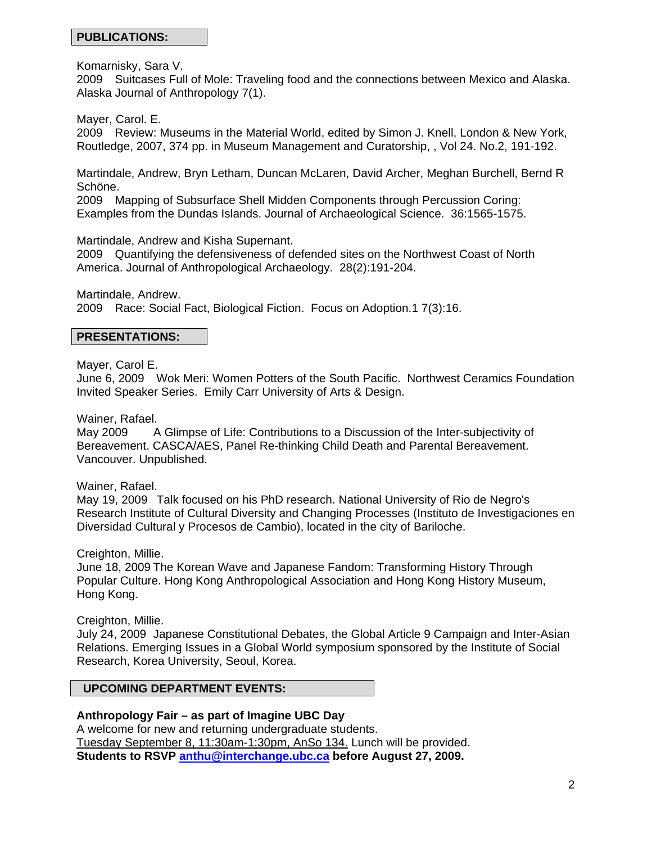#### **PUBLICATIONS:**

Komarnisky, Sara V.

2009 Suitcases Full of Mole: Traveling food and the connections between Mexico and Alaska. Alaska Journal of Anthropology 7(1).

Mayer, Carol. E.

2009 Review: Museums in the Material World, edited by Simon J. Knell, London & New York, Routledge, 2007, 374 pp. in Museum Management and Curatorship, , Vol 24. No.2, 191-192.

Martindale, Andrew, Bryn Letham, Duncan McLaren, David Archer, Meghan Burchell, Bernd R Schöne.

2009 Mapping of Subsurface Shell Midden Components through Percussion Coring: Examples from the Dundas Islands. Journal of Archaeological Science. 36:1565-1575.

Martindale, Andrew and Kisha Supernant.

2009 Quantifying the defensiveness of defended sites on the Northwest Coast of North America. Journal of Anthropological Archaeology. 28(2):191-204.

Martindale, Andrew. 2009 Race: Social Fact, Biological Fiction. Focus on Adoption.1 7(3):16.

#### **PRESENTATIONS:**

Mayer, Carol E.

June 6, 2009 Wok Meri: Women Potters of the South Pacific. Northwest Ceramics Foundation Invited Speaker Series. Emily Carr University of Arts & Design.

Wainer, Rafael.

May 2009 A Glimpse of Life: Contributions to a Discussion of the Inter-subjectivity of Bereavement. CASCA/AES, Panel Re-thinking Child Death and Parental Bereavement. Vancouver. Unpublished.

Wainer, Rafael.

May 19, 2009 Talk focused on his PhD research. National University of Rio de Negro's Research Institute of Cultural Diversity and Changing Processes (Instituto de Investigaciones en Diversidad Cultural y Procesos de Cambio), located in the city of Bariloche.

Creighton, Millie.

June 18, 2009 The Korean Wave and Japanese Fandom: Transforming History Through Popular Culture. Hong Kong Anthropological Association and Hong Kong History Museum, Hong Kong.

Creighton, Millie.

July 24, 2009 Japanese Constitutional Debates, the Global Article 9 Campaign and Inter-Asian Relations. Emerging Issues in a Global World symposium sponsored by the Institute of Social Research, Korea University, Seoul, Korea.

#### **UPCOMING DEPARTMENT EVENTS:**

**Anthropology Fair – as part of Imagine UBC Day** 

A welcome for new and returning undergraduate students. Tuesday September 8, 11:30am-1:30pm, AnSo 134. Lunch will be provided. **Students to RSVP anthu@interchange.ubc.ca before August 27, 2009.**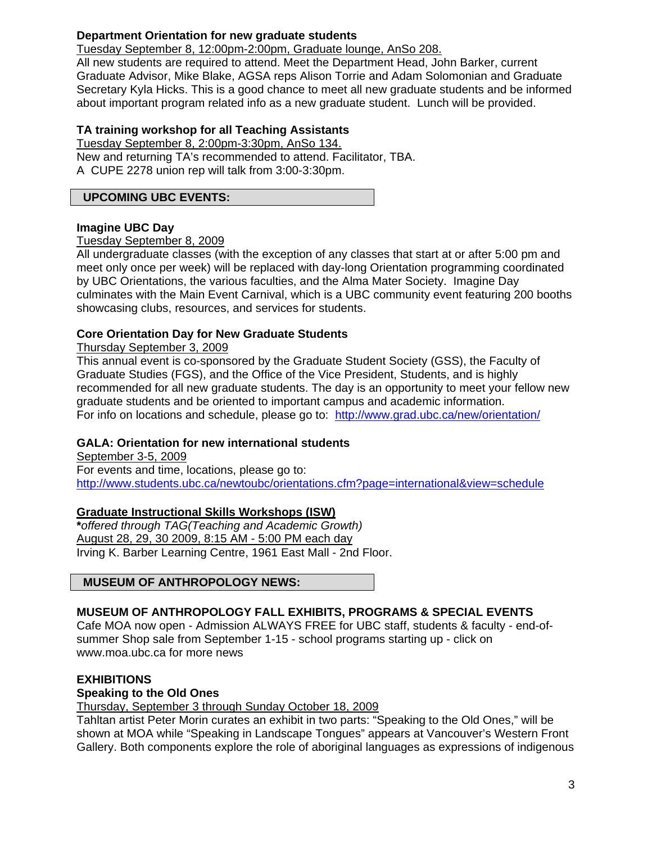# **Department Orientation for new graduate students**

Tuesday September 8, 12:00pm-2:00pm, Graduate lounge, AnSo 208.

All new students are required to attend. Meet the Department Head, John Barker, current Graduate Advisor, Mike Blake, AGSA reps Alison Torrie and Adam Solomonian and Graduate Secretary Kyla Hicks. This is a good chance to meet all new graduate students and be informed about important program related info as a new graduate student. Lunch will be provided.

## **TA training workshop for all Teaching Assistants**

Tuesday September 8, 2:00pm-3:30pm, AnSo 134. New and returning TA's recommended to attend. Facilitator, TBA. A CUPE 2278 union rep will talk from 3:00-3:30pm.

#### **UPCOMING UBC EVENTS:**

#### **Imagine UBC Day**

#### Tuesday September 8, 2009

All undergraduate classes (with the exception of any classes that start at or after 5:00 pm and meet only once per week) will be replaced with day-long Orientation programming coordinated by UBC Orientations, the various faculties, and the Alma Mater Society. Imagine Day culminates with the Main Event Carnival, which is a UBC community event featuring 200 booths showcasing clubs, resources, and services for students.

#### **Core Orientation Day for New Graduate Students**

#### Thursday September 3, 2009

This annual event is co-sponsored by the Graduate Student Society (GSS), the Faculty of Graduate Studies (FGS), and the Office of the Vice President, Students, and is highly recommended for all new graduate students. The day is an opportunity to meet your fellow new graduate students and be oriented to important campus and academic information. For info on locations and schedule, please go to: http://www.grad.ubc.ca/new/orientation/

#### **GALA: Orientation for new international students**

September 3-5, 2009 For events and time, locations, please go to: http://www.students.ubc.ca/newtoubc/orientations.cfm?page=international&view=schedule

#### **Graduate Instructional Skills Workshops (ISW)**

**\****offered through TAG(Teaching and Academic Growth)*  August 28, 29, 30 2009, 8:15 AM - 5:00 PM each day Irving K. Barber Learning Centre, 1961 East Mall - 2nd Floor.

#### **MUSEUM OF ANTHROPOLOGY NEWS:**

# **MUSEUM OF ANTHROPOLOGY FALL EXHIBITS, PROGRAMS & SPECIAL EVENTS**

Cafe MOA now open - Admission ALWAYS FREE for UBC staff, students & faculty - end-ofsummer Shop sale from September 1-15 - school programs starting up - click on www.moa.ubc.ca for more news

#### **EXHIBITIONS**

#### **Speaking to the Old Ones**

#### Thursday, September 3 through Sunday October 18, 2009

Tahltan artist Peter Morin curates an exhibit in two parts: "Speaking to the Old Ones," will be shown at MOA while "Speaking in Landscape Tongues" appears at Vancouver's Western Front Gallery. Both components explore the role of aboriginal languages as expressions of indigenous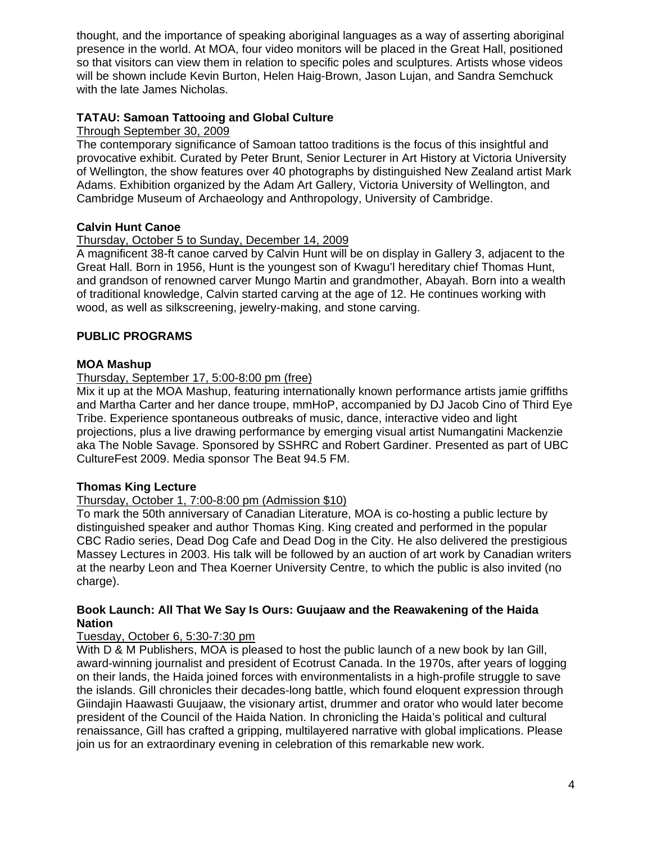thought, and the importance of speaking aboriginal languages as a way of asserting aboriginal presence in the world. At MOA, four video monitors will be placed in the Great Hall, positioned so that visitors can view them in relation to specific poles and sculptures. Artists whose videos will be shown include Kevin Burton, Helen Haig-Brown, Jason Lujan, and Sandra Semchuck with the late James Nicholas.

# **TATAU: Samoan Tattooing and Global Culture**

## Through September 30, 2009

The contemporary significance of Samoan tattoo traditions is the focus of this insightful and provocative exhibit. Curated by Peter Brunt, Senior Lecturer in Art History at Victoria University of Wellington, the show features over 40 photographs by distinguished New Zealand artist Mark Adams. Exhibition organized by the Adam Art Gallery, Victoria University of Wellington, and Cambridge Museum of Archaeology and Anthropology, University of Cambridge.

# **Calvin Hunt Canoe**

## Thursday, October 5 to Sunday, December 14, 2009

A magnificent 38-ft canoe carved by Calvin Hunt will be on display in Gallery 3, adjacent to the Great Hall. Born in 1956, Hunt is the youngest son of Kwagu'l hereditary chief Thomas Hunt, and grandson of renowned carver Mungo Martin and grandmother, Abayah. Born into a wealth of traditional knowledge, Calvin started carving at the age of 12. He continues working with wood, as well as silkscreening, jewelry-making, and stone carving.

# **PUBLIC PROGRAMS**

# **MOA Mashup**

## Thursday, September 17, 5:00-8:00 pm (free)

Mix it up at the MOA Mashup, featuring internationally known performance artists jamie griffiths and Martha Carter and her dance troupe, mmHoP, accompanied by DJ Jacob Cino of Third Eye Tribe. Experience spontaneous outbreaks of music, dance, interactive video and light projections, plus a live drawing performance by emerging visual artist Numangatini Mackenzie aka The Noble Savage. Sponsored by SSHRC and Robert Gardiner. Presented as part of UBC CultureFest 2009. Media sponsor The Beat 94.5 FM.

# **Thomas King Lecture**

# Thursday, October 1, 7:00-8:00 pm (Admission \$10)

To mark the 50th anniversary of Canadian Literature, MOA is co-hosting a public lecture by distinguished speaker and author Thomas King. King created and performed in the popular CBC Radio series, Dead Dog Cafe and Dead Dog in the City. He also delivered the prestigious Massey Lectures in 2003. His talk will be followed by an auction of art work by Canadian writers at the nearby Leon and Thea Koerner University Centre, to which the public is also invited (no charge).

#### **Book Launch: All That We Say Is Ours: Guujaaw and the Reawakening of the Haida Nation**

#### Tuesday, October 6, 5:30-7:30 pm

With D & M Publishers, MOA is pleased to host the public launch of a new book by Ian Gill, award-winning journalist and president of Ecotrust Canada. In the 1970s, after years of logging on their lands, the Haida joined forces with environmentalists in a high-profile struggle to save the islands. Gill chronicles their decades-long battle, which found eloquent expression through Giindajin Haawasti Guujaaw, the visionary artist, drummer and orator who would later become president of the Council of the Haida Nation. In chronicling the Haida's political and cultural renaissance, Gill has crafted a gripping, multilayered narrative with global implications. Please join us for an extraordinary evening in celebration of this remarkable new work.